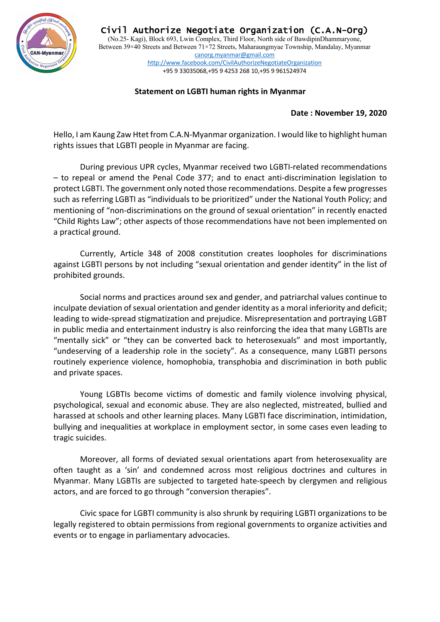

Civil Authorize Negotiate Organization (C.A.N-Org) (No.25- Kagi), Block 693, Lwin Complex, Third Floor, North side of BawdipinDhammaryone, Between 39×40 Streets and Between 71×72 Streets, Maharaungmyae Township, Mandalay, Myanmar canorg.myanmar@gmail.com http://www.facebook.com/CivilAuthorizeNegotiateOrganization +95 9 33035068,+95 9 4253 268 10,+95 9 961524974

## **Statement on LGBTI human rights in Myanmar**

## **Date : November 19, 2020**

Hello, I am Kaung Zaw Htet from C.A.N-Myanmar organization. I would like to highlight human rights issues that LGBTI people in Myanmar are facing.

During previous UPR cycles, Myanmar received two LGBTI-related recommendations – to repeal or amend the Penal Code 377; and to enact anti-discrimination legislation to protect LGBTI. The government only noted those recommendations. Despite a few progresses such as referring LGBTI as "individuals to be prioritized" under the National Youth Policy; and mentioning of "non-discriminations on the ground of sexual orientation" in recently enacted "Child Rights Law"; other aspects of those recommendations have not been implemented on a practical ground.

Currently, Article 348 of 2008 constitution creates loopholes for discriminations against LGBTI persons by not including "sexual orientation and gender identity" in the list of prohibited grounds.

Social norms and practices around sex and gender, and patriarchal values continue to inculpate deviation of sexual orientation and gender identity as a moral inferiority and deficit; leading to wide-spread stigmatization and prejudice. Misrepresentation and portraying LGBT in public media and entertainment industry is also reinforcing the idea that many LGBTIs are "mentally sick" or "they can be converted back to heterosexuals" and most importantly, "undeserving of a leadership role in the society". As a consequence, many LGBTI persons routinely experience violence, homophobia, transphobia and discrimination in both public and private spaces.

Young LGBTIs become victims of domestic and family violence involving physical, psychological, sexual and economic abuse. They are also neglected, mistreated, bullied and harassed at schools and other learning places. Many LGBTI face discrimination, intimidation, bullying and inequalities at workplace in employment sector, in some cases even leading to tragic suicides.

Moreover, all forms of deviated sexual orientations apart from heterosexuality are often taught as a 'sin' and condemned across most religious doctrines and cultures in Myanmar. Many LGBTIs are subjected to targeted hate-speech by clergymen and religious actors, and are forced to go through "conversion therapies".

Civic space for LGBTI community is also shrunk by requiring LGBTI organizations to be legally registered to obtain permissions from regional governments to organize activities and events or to engage in parliamentary advocacies.